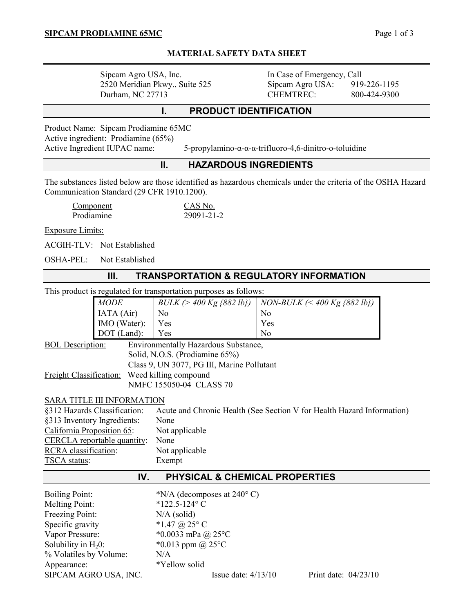# **MATERIAL SAFETY DATA SHEET**

| Sipcam Agro USA, Inc.          |
|--------------------------------|
| 2520 Meridian Pkwy., Suite 525 |
| Durham, NC 27713               |

In Case of Emergency, Call Sipcam Agro USA: 919-226-1195 CHEMTREC: 800-424-9300

# **I. PRODUCT IDENTIFICATION**

Product Name: Sipcam Prodiamine 65MC Active ingredient: Prodiamine (65%)

Active Ingredient IUPAC name: 5-propylamino-α-α-α-trifluoro-4,6-dinitro-o-toluidine

# **II. HAZARDOUS INGREDIENTS**

The substances listed below are those identified as hazardous chemicals under the criteria of the OSHA Hazard Communication Standard (29 CFR 1910.1200).

| Component         | CAS No.    |
|-------------------|------------|
| <b>Prodiamine</b> | 29091-21-2 |

Exposure Limits:

ACGIH-TLV: Not Established

OSHA-PEL: Not Established

## **III. TRANSPORTATION & REGULATORY INFORMATION**

This product is regulated for transportation purposes as follows:

|                                                                                                                | <b>MODE</b>                                  | $BULK$ (> 400 Kg {882 lb})                 | NON-BULK $\left( < 400 \text{ kg } \{882 \text{ lb}\}\right)$ |  |  |  |
|----------------------------------------------------------------------------------------------------------------|----------------------------------------------|--------------------------------------------|---------------------------------------------------------------|--|--|--|
|                                                                                                                | IATA (Air)                                   | N <sub>0</sub>                             | N <sub>0</sub>                                                |  |  |  |
|                                                                                                                | IMO (Water):                                 | Yes                                        | Yes                                                           |  |  |  |
|                                                                                                                | DOT (Land):                                  | Yes                                        | N <sub>0</sub>                                                |  |  |  |
| <b>BOL</b> Description:                                                                                        |                                              | Environmentally Hazardous Substance,       |                                                               |  |  |  |
| Solid, N.O.S. (Prodiamine 65%)                                                                                 |                                              |                                            |                                                               |  |  |  |
|                                                                                                                |                                              | Class 9, UN 3077, PG III, Marine Pollutant |                                                               |  |  |  |
| Freight Classification:                                                                                        |                                              | Weed killing compound                      |                                                               |  |  |  |
| NMFC 155050-04 CLASS 70                                                                                        |                                              |                                            |                                                               |  |  |  |
|                                                                                                                | <b>SARA TITLE III INFORMATION</b>            |                                            |                                                               |  |  |  |
|                                                                                                                |                                              |                                            |                                                               |  |  |  |
| §312 Hazards Classification:<br>Acute and Chronic Health (See Section V for Health Hazard Information)<br>None |                                              |                                            |                                                               |  |  |  |
|                                                                                                                | §313 Inventory Ingredients:                  |                                            |                                                               |  |  |  |
|                                                                                                                | California Proposition 65:<br>Not applicable |                                            |                                                               |  |  |  |
|                                                                                                                | CERCLA reportable quantity:<br>None          |                                            |                                                               |  |  |  |
| RCRA classification:                                                                                           |                                              | Not applicable                             |                                                               |  |  |  |
|                                                                                                                | <b>TSCA</b> status:<br>Exempt                |                                            |                                                               |  |  |  |
| PHYSICAL & CHEMICAL PROPERTIES<br>IV.                                                                          |                                              |                                            |                                                               |  |  |  |
| <b>Boiling Point:</b>                                                                                          |                                              | *N/A (decomposes at $240^{\circ}$ C)       |                                                               |  |  |  |
| <b>Melting Point:</b>                                                                                          | *122.5-124°C                                 |                                            |                                                               |  |  |  |
| Freezing Point:                                                                                                | $N/A$ (solid)                                |                                            |                                                               |  |  |  |
| Specific gravity                                                                                               |                                              | *1.47 @ $25^{\circ}$ C                     |                                                               |  |  |  |
| Vapor Pressure:                                                                                                |                                              | *0.0033 mPa @ 25°C                         |                                                               |  |  |  |
| Solubility in $H_20$ :                                                                                         |                                              | *0.013 ppm @ $25^{\circ}$ C                |                                                               |  |  |  |
| % Volatiles by Volume:                                                                                         |                                              | N/A                                        |                                                               |  |  |  |
| Appearance:                                                                                                    |                                              | *Yellow solid                              |                                                               |  |  |  |
| SIPCAM AGRO USA, INC.                                                                                          |                                              | Issue date: $4/13/10$                      | Print date: $04/23/10$                                        |  |  |  |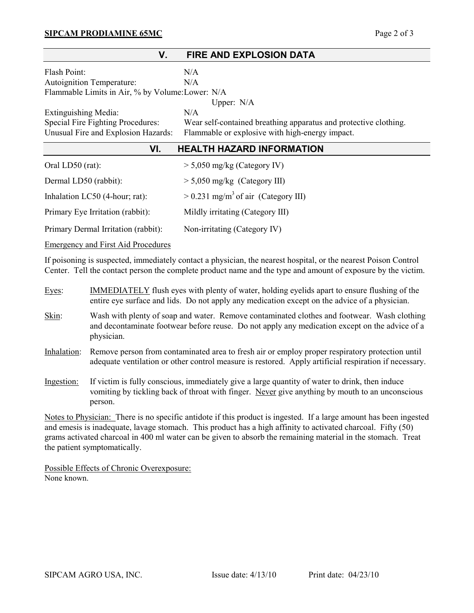## **SIPCAM PRODIAMINE 65MC** Page 2 of 3

| V.<br><b>FIRE AND EXPLOSION DATA</b>             |                                                                  |  |  |  |  |
|--------------------------------------------------|------------------------------------------------------------------|--|--|--|--|
| Flash Point:                                     | N/A                                                              |  |  |  |  |
| Autoignition Temperature:                        | N/A                                                              |  |  |  |  |
| Flammable Limits in Air, % by Volume: Lower: N/A |                                                                  |  |  |  |  |
|                                                  | Upper: $N/A$                                                     |  |  |  |  |
| Extinguishing Media:                             | N/A                                                              |  |  |  |  |
| Special Fire Fighting Procedures:                | Wear self-contained breathing apparatus and protective clothing. |  |  |  |  |
| Unusual Fire and Explosion Hazards:              | Flammable or explosive with high-energy impact.                  |  |  |  |  |
| VI.<br><b>HEALTH HAZARD INFORMATION</b>          |                                                                  |  |  |  |  |
| Oral LD50 $(rat)$ :                              | $>$ 5,050 mg/kg (Category IV)                                    |  |  |  |  |
| Dermal LD50 (rabbit):                            | $> 5,050$ mg/kg (Category III)                                   |  |  |  |  |
| Inhalation LC50 (4-hour; rat):                   | $> 0.231$ mg/m <sup>3</sup> of air (Category III)                |  |  |  |  |
| Primary Eye Irritation (rabbit):                 | Mildly irritating (Category III)                                 |  |  |  |  |
| Primary Dermal Irritation (rabbit):              | Non-irritating (Category IV)                                     |  |  |  |  |

Emergency and First Aid Procedures

If poisoning is suspected, immediately contact a physician, the nearest hospital, or the nearest Poison Control Center. Tell the contact person the complete product name and the type and amount of exposure by the victim.

- Eyes: IMMEDIATELY flush eyes with plenty of water, holding eyelids apart to ensure flushing of the entire eye surface and lids. Do not apply any medication except on the advice of a physician.
- Skin: Wash with plenty of soap and water. Remove contaminated clothes and footwear. Wash clothing and decontaminate footwear before reuse. Do not apply any medication except on the advice of a physician.
- Inhalation: Remove person from contaminated area to fresh air or employ proper respiratory protection until adequate ventilation or other control measure is restored. Apply artificial respiration if necessary.
- Ingestion: If victim is fully conscious, immediately give a large quantity of water to drink, then induce vomiting by tickling back of throat with finger. Never give anything by mouth to an unconscious person.

Notes to Physician: There is no specific antidote if this product is ingested. If a large amount has been ingested and emesis is inadequate, lavage stomach. This product has a high affinity to activated charcoal. Fifty (50) grams activated charcoal in 400 ml water can be given to absorb the remaining material in the stomach. Treat the patient symptomatically.

Possible Effects of Chronic Overexposure: None known.